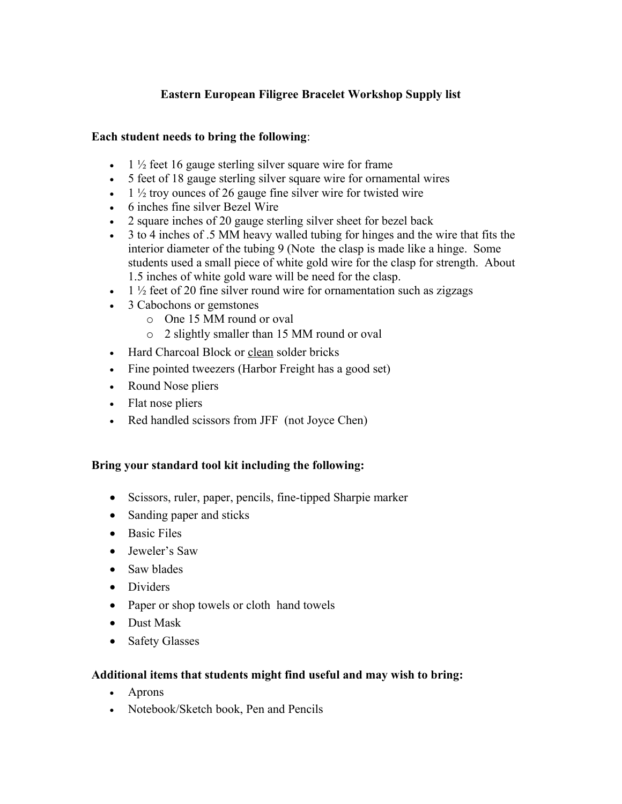# **Eastern European Filigree Bracelet Workshop Supply list**

## **Each student needs to bring the following**:

- $\bullet$  1  $\frac{1}{2}$  feet 16 gauge sterling silver square wire for frame
- 5 feet of 18 gauge sterling silver square wire for ornamental wires
- $\bullet$  1  $\frac{1}{2}$  troy ounces of 26 gauge fine silver wire for twisted wire
- 6 inches fine silver Bezel Wire
- 2 square inches of 20 gauge sterling silver sheet for bezel back
- 3 to 4 inches of .5 MM heavy walled tubing for hinges and the wire that fits the interior diameter of the tubing 9 (Note the clasp is made like a hinge. Some students used a small piece of white gold wire for the clasp for strength. About 1.5 inches of white gold ware will be need for the clasp.
- $\bullet$  1  $\frac{1}{2}$  feet of 20 fine silver round wire for ornamentation such as zigzags
- 3 Cabochons or gemstones
	- o One 15 MM round or oval
	- o 2 slightly smaller than 15 MM round or oval
- Hard Charcoal Block or clean solder bricks
- Fine pointed tweezers (Harbor Freight has a good set)
- Round Nose pliers
- Flat nose pliers
- Red handled scissors from JFF (not Joyce Chen)

## **Bring your standard tool kit including the following:**

- Scissors, ruler, paper, pencils, fine-tipped Sharpie marker
- Sanding paper and sticks
- Basic Files
- Jeweler's Saw
- Saw blades
- Dividers
- Paper or shop towels or cloth hand towels
- Dust Mask
- Safety Glasses

## **Additional items that students might find useful and may wish to bring:**

- Aprons
- Notebook/Sketch book, Pen and Pencils